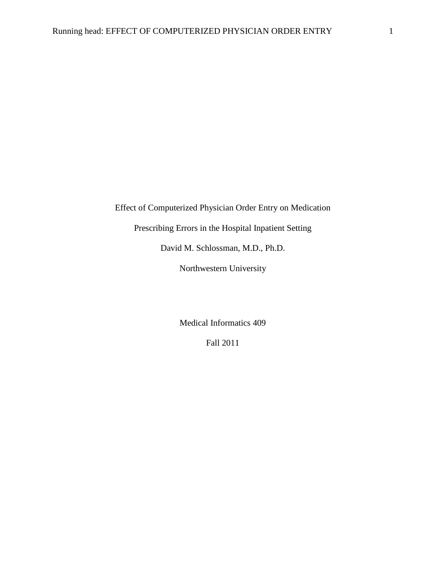Effect of Computerized Physician Order Entry on Medication

Prescribing Errors in the Hospital Inpatient Setting

David M. Schlossman, M.D., Ph.D.

Northwestern University

Medical Informatics 409

Fall 2011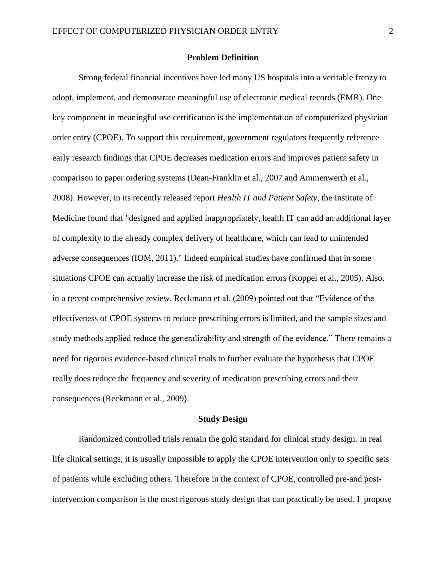# **Problem Definition**

Strong federal financial incentives have led many US hospitals into a veritable frenzy to adopt, implement, and demonstrate meaningful use of electronic medical records (EMR). One key component in meaningful use certification is the implementation of computerized physician order entry (CPOE). To support this requirement, government regulators frequently reference early research findings that CPOE decreases medication errors and improves patient safety in comparison to paper ordering systems (Dean-Franklin et al., 2007 and Ammenwerth et al., 2008). However, in its recently released report *Health IT and Patient Safety,* the Institute of Medicine found that "designed and applied inappropriately, health IT can add an additional layer of complexity to the already complex delivery of healthcare, which can lead to unintended adverse consequences (IOM, 2011)." Indeed empirical studies have confirmed that in some situations CPOE can actually increase the risk of medication errors (Koppel et al., 2005). Also, in a recent comprehensive review, Reckmann et al. (2009) pointed out that "Evidence of the effectiveness of CPOE systems to reduce prescribing errors is limited, and the sample sizes and study methods applied reduce the generalizability and strength of the evidence." There remains a need for rigorous evidence-based clinical trials to further evaluate the hypothesis that CPOE really does reduce the frequency and severity of medication prescribing errors and their consequences (Reckmann et al., 2009).

#### **Study Design**

Randomized controlled trials remain the gold standard for clinical study design. In real life clinical settings, it is usually impossible to apply the CPOE intervention only to specific sets of patients while excluding others. Therefore in the context of CPOE, controlled pre-and postintervention comparison is the most rigorous study design that can practically be used. I propose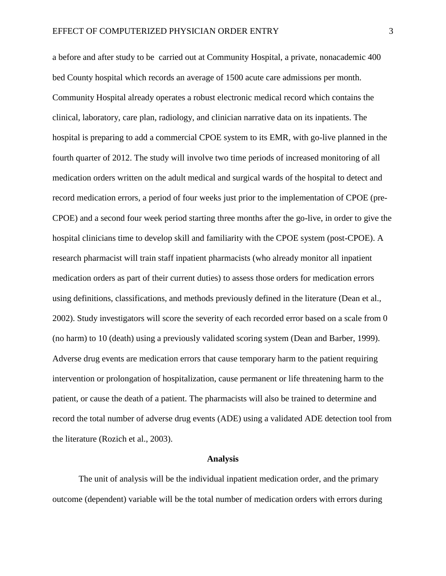a before and after study to be carried out at Community Hospital, a private, nonacademic 400 bed County hospital which records an average of 1500 acute care admissions per month. Community Hospital already operates a robust electronic medical record which contains the clinical, laboratory, care plan, radiology, and clinician narrative data on its inpatients. The hospital is preparing to add a commercial CPOE system to its EMR, with go-live planned in the fourth quarter of 2012. The study will involve two time periods of increased monitoring of all medication orders written on the adult medical and surgical wards of the hospital to detect and record medication errors, a period of four weeks just prior to the implementation of CPOE (pre-CPOE) and a second four week period starting three months after the go-live, in order to give the hospital clinicians time to develop skill and familiarity with the CPOE system (post-CPOE). A research pharmacist will train staff inpatient pharmacists (who already monitor all inpatient medication orders as part of their current duties) to assess those orders for medication errors using definitions, classifications, and methods previously defined in the literature (Dean et al., 2002). Study investigators will score the severity of each recorded error based on a scale from 0 (no harm) to 10 (death) using a previously validated scoring system (Dean and Barber, 1999). Adverse drug events are medication errors that cause temporary harm to the patient requiring intervention or prolongation of hospitalization, cause permanent or life threatening harm to the patient, or cause the death of a patient. The pharmacists will also be trained to determine and record the total number of adverse drug events (ADE) using a validated ADE detection tool from the literature (Rozich et al., 2003).

## **Analysis**

The unit of analysis will be the individual inpatient medication order, and the primary outcome (dependent) variable will be the total number of medication orders with errors during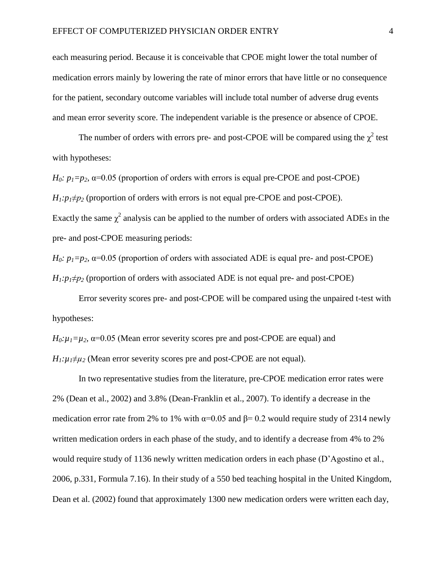each measuring period. Because it is conceivable that CPOE might lower the total number of medication errors mainly by lowering the rate of minor errors that have little or no consequence for the patient, secondary outcome variables will include total number of adverse drug events and mean error severity score. The independent variable is the presence or absence of CPOE.

The number of orders with errors pre- and post-CPOE will be compared using the  $\chi^2$  test with hypotheses:

*H*<sub>0</sub>*:*  $p_1 = p_2$ ,  $\alpha = 0.05$  (proportion of orders with errors is equal pre-CPOE and post-CPOE)  $H_1: p_1 \neq p_2$  (proportion of orders with errors is not equal pre-CPOE and post-CPOE). Exactly the same  $\chi^2$  analysis can be applied to the number of orders with associated ADEs in the pre- and post-CPOE measuring periods:

*H*<sub>0</sub>*:*  $p_1 = p_2$ ,  $\alpha = 0.05$  (proportion of orders with associated ADE is equal pre- and post-CPOE)  $H_1: p_1 \neq p_2$  (proportion of orders with associated ADE is not equal pre- and post-CPOE)

Error severity scores pre- and post-CPOE will be compared using the unpaired t-test with hypotheses:

 $H_0: \mu_1 = \mu_2$ ,  $\alpha = 0.05$  (Mean error severity scores pre and post-CPOE are equal) and  $H_1$ : $\mu_1 \neq \mu_2$  (Mean error severity scores pre and post-CPOE are not equal).

In two representative studies from the literature, pre-CPOE medication error rates were 2% (Dean et al., 2002) and 3.8% (Dean-Franklin et al., 2007). To identify a decrease in the medication error rate from 2% to 1% with  $\alpha$ =0.05 and  $\beta$ = 0.2 would require study of 2314 newly written medication orders in each phase of the study, and to identify a decrease from 4% to 2% would require study of 1136 newly written medication orders in each phase (D'Agostino et al., 2006, p.331, Formula 7.16). In their study of a 550 bed teaching hospital in the United Kingdom, Dean et al. (2002) found that approximately 1300 new medication orders were written each day,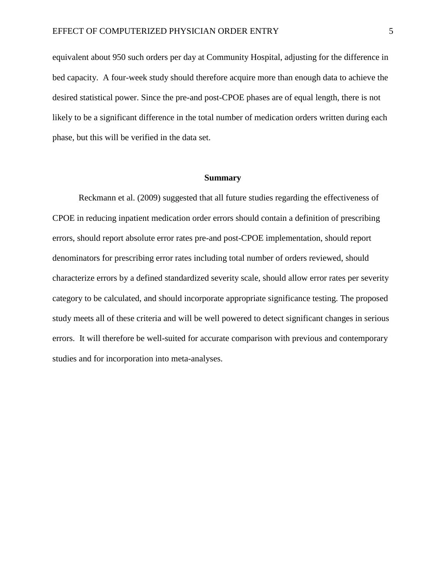equivalent about 950 such orders per day at Community Hospital, adjusting for the difference in bed capacity. A four-week study should therefore acquire more than enough data to achieve the desired statistical power. Since the pre-and post-CPOE phases are of equal length, there is not likely to be a significant difference in the total number of medication orders written during each phase, but this will be verified in the data set.

#### **Summary**

Reckmann et al. (2009) suggested that all future studies regarding the effectiveness of CPOE in reducing inpatient medication order errors should contain a definition of prescribing errors, should report absolute error rates pre-and post-CPOE implementation, should report denominators for prescribing error rates including total number of orders reviewed, should characterize errors by a defined standardized severity scale, should allow error rates per severity category to be calculated, and should incorporate appropriate significance testing. The proposed study meets all of these criteria and will be well powered to detect significant changes in serious errors. It will therefore be well-suited for accurate comparison with previous and contemporary studies and for incorporation into meta-analyses.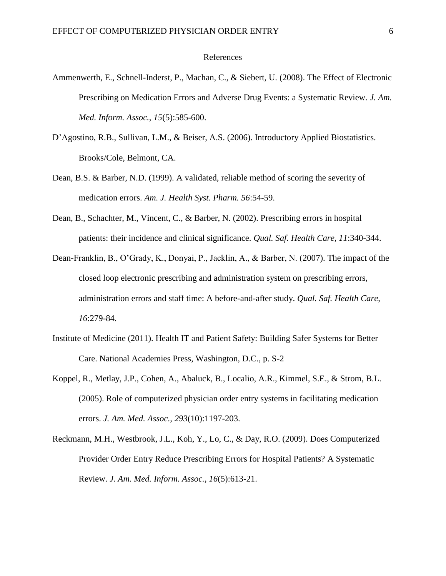## References

- Ammenwerth, E., Schnell-Inderst, P., Machan, C., & Siebert, U. (2008). The Effect of Electronic Prescribing on Medication Errors and Adverse Drug Events: a Systematic Review. *J. Am. Med. Inform. Assoc., 15*(5):585-600.
- D'Agostino, R.B., Sullivan, L.M., & Beiser, A.S. (2006). Introductory Applied Biostatistics. Brooks/Cole, Belmont, CA.
- Dean, B.S. & Barber, N.D. (1999). A validated, reliable method of scoring the severity of medication errors. *Am. J. Health Syst. Pharm. 56*:54-59.
- Dean, B., Schachter, M., Vincent, C., & Barber, N. (2002). Prescribing errors in hospital patients: their incidence and clinical significance. *Qual. Saf. Health Care, 11*:340-344.
- Dean-Franklin, B., O'Grady, K., Donyai, P., Jacklin, A., & Barber, N. (2007). The impact of the closed loop electronic prescribing and administration system on prescribing errors, administration errors and staff time: A before-and-after study. *Qual. Saf. Health Care, 16*:279-84.
- Institute of Medicine (2011). Health IT and Patient Safety: Building Safer Systems for Better Care. National Academies Press, Washington, D.C., p. S-2
- Koppel, R., Metlay, J.P., Cohen, A., Abaluck, B., Localio, A.R., Kimmel, S.E., & Strom, B.L. (2005). Role of computerized physician order entry systems in facilitating medication errors. *J. Am. Med. Assoc., 293*(10):1197-203.
- Reckmann, M.H., Westbrook, J.L., Koh, Y., Lo, C., & Day, R.O. (2009). Does Computerized Provider Order Entry Reduce Prescribing Errors for Hospital Patients? A Systematic Review. *J. Am. Med. Inform. Assoc., 16*(5):613-21.